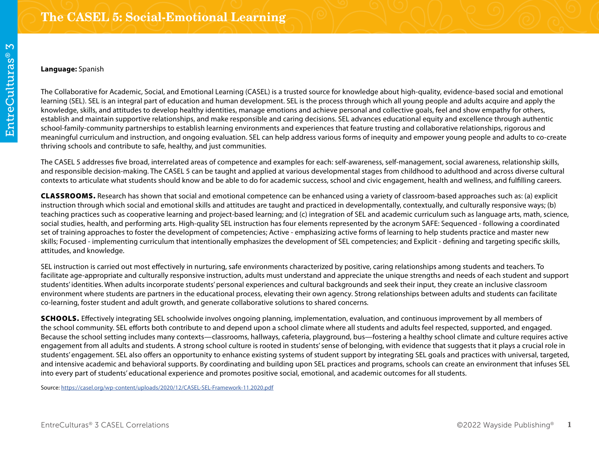## **Language:** Spanish

The Collaborative for Academic, Social, and Emotional Learning (CASEL) is a trusted source for knowledge about high-quality, evidence-based social and emotional learning (SEL). SEL is an integral part of education and human development. SEL is the process through which all young people and adults acquire and apply the knowledge, skills, and attitudes to develop healthy identities, manage emotions and achieve personal and collective goals, feel and show empathy for others, establish and maintain supportive relationships, and make responsible and caring decisions. SEL advances educational equity and excellence through authentic school-family-community partnerships to establish learning environments and experiences that feature trusting and collaborative relationships, rigorous and meaningful curriculum and instruction, and ongoing evaluation. SEL can help address various forms of inequity and empower young people and adults to co-create thriving schools and contribute to safe, healthy, and just communities.

The CASEL 5 addresses five broad, interrelated areas of competence and examples for each: self-awareness, self-management, social awareness, relationship skills, and responsible decision-making. The CASEL 5 can be taught and applied at various developmental stages from childhood to adulthood and across diverse cultural contexts to articulate what students should know and be able to do for academic success, school and civic engagement, health and wellness, and fulfilling careers.

CLASSROOMS. Research has shown that social and emotional competence can be enhanced using a variety of classroom-based approaches such as: (a) explicit instruction through which social and emotional skills and attitudes are taught and practiced in developmentally, contextually, and culturally responsive ways; (b) teaching practices such as cooperative learning and project-based learning; and (c) integration of SEL and academic curriculum such as language arts, math, science, social studies, health, and performing arts. High-quality SEL instruction has four elements represented by the acronym SAFE: Sequenced - following a coordinated set of training approaches to foster the development of competencies; Active - emphasizing active forms of learning to help students practice and master new skills; Focused - implementing curriculum that intentionally emphasizes the development of SEL competencies; and Explicit - defining and targeting specific skills, attitudes, and knowledge.

SEL instruction is carried out most effectively in nurturing, safe environments characterized by positive, caring relationships among students and teachers. To facilitate age-appropriate and culturally responsive instruction, adults must understand and appreciate the unique strengths and needs of each student and support students' identities. When adults incorporate students' personal experiences and cultural backgrounds and seek their input, they create an inclusive classroom environment where students are partners in the educational process, elevating their own agency. Strong relationships between adults and students can facilitate co-learning, foster student and adult growth, and generate collaborative solutions to shared concerns.

SCHOOLS. Effectively integrating SEL schoolwide involves ongoing planning, implementation, evaluation, and continuous improvement by all members of the school community. SEL efforts both contribute to and depend upon a school climate where all students and adults feel respected, supported, and engaged. Because the school setting includes many contexts—classrooms, hallways, cafeteria, playground, bus—fostering a healthy school climate and culture requires active engagement from all adults and students. A strong school culture is rooted in students' sense of belonging, with evidence that suggests that it plays a crucial role in students' engagement. SEL also offers an opportunity to enhance existing systems of student support by integrating SEL goals and practices with universal, targeted, and intensive academic and behavioral supports. By coordinating and building upon SEL practices and programs, schools can create an environment that infuses SEL into every part of students' educational experience and promotes positive social, emotional, and academic outcomes for all students.

Source: https://casel.org/wp-content/uploads/2020/12/CASEL-SEL-Framework-11.2020.pdf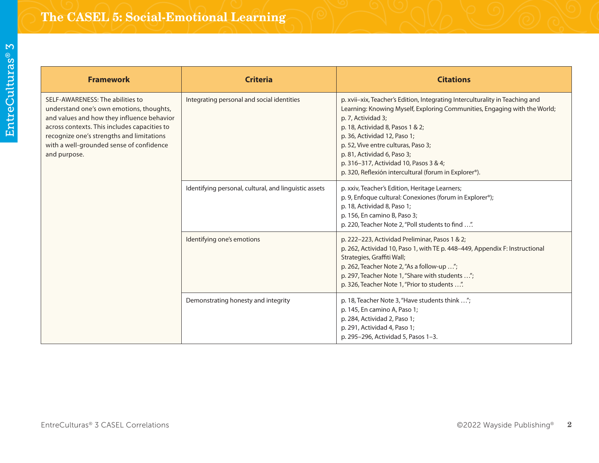| <b>Framework</b>                                                                                                                                                                                                                                                                    | <b>Criteria</b>                                       | <b>Citations</b>                                                                                                                                                                                                                                                                                                                                                                                                             |
|-------------------------------------------------------------------------------------------------------------------------------------------------------------------------------------------------------------------------------------------------------------------------------------|-------------------------------------------------------|------------------------------------------------------------------------------------------------------------------------------------------------------------------------------------------------------------------------------------------------------------------------------------------------------------------------------------------------------------------------------------------------------------------------------|
| SELF-AWARENESS: The abilities to<br>understand one's own emotions, thoughts,<br>and values and how they influence behavior<br>across contexts. This includes capacities to<br>recognize one's strengths and limitations<br>with a well-grounded sense of confidence<br>and purpose. | Integrating personal and social identities            | p. xvii-xix, Teacher's Edition, Integrating Interculturality in Teaching and<br>Learning: Knowing Myself, Exploring Communities, Engaging with the World;<br>p. 7, Actividad 3;<br>p. 18, Actividad 8, Pasos 1 & 2;<br>p. 36, Actividad 12, Paso 1;<br>p. 52, Vive entre culturas, Paso 3;<br>p. 81, Actividad 6, Paso 3;<br>p. 316-317, Actividad 10, Pasos 3 & 4;<br>p. 320, Reflexión intercultural (forum in Explorer®). |
|                                                                                                                                                                                                                                                                                     | Identifying personal, cultural, and linguistic assets | p. xxiv, Teacher's Edition, Heritage Learners;<br>p. 9, Enfoque cultural: Conexiones (forum in Explorer®);<br>p. 18, Actividad 8, Paso 1;<br>p. 156, En camino B, Paso 3;<br>p. 220, Teacher Note 2, "Poll students to find ".                                                                                                                                                                                               |
|                                                                                                                                                                                                                                                                                     | Identifying one's emotions                            | p. 222-223, Actividad Preliminar, Pasos 1 & 2;<br>p. 262, Actividad 10, Paso 1, with TE p. 448-449, Appendix F: Instructional<br>Strategies, Graffiti Wall;<br>p. 262, Teacher Note 2, "As a follow-up ";<br>p. 297, Teacher Note 1, "Share with students ";<br>p. 326, Teacher Note 1, "Prior to students ".                                                                                                                |
|                                                                                                                                                                                                                                                                                     | Demonstrating honesty and integrity                   | p. 18, Teacher Note 3, "Have students think ";<br>p. 145, En camino A, Paso 1;<br>p. 284, Actividad 2, Paso 1;<br>p. 291, Actividad 4, Paso 1;<br>p. 295-296, Actividad 5, Pasos 1-3.                                                                                                                                                                                                                                        |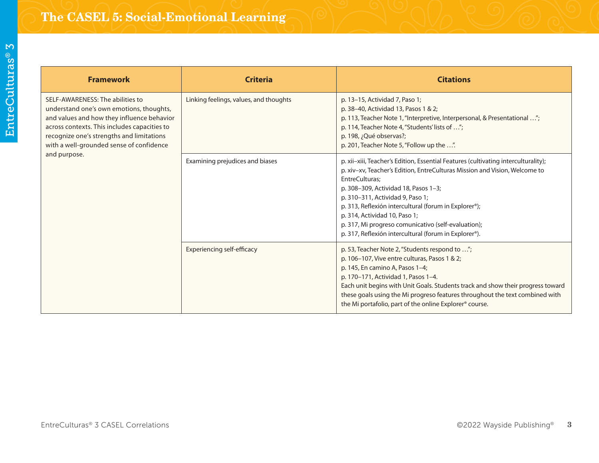| ĺ                                |  |
|----------------------------------|--|
| <b>Service Service</b><br>ı<br>I |  |
| <b>Service Service</b><br>г      |  |
| l<br>ı                           |  |
|                                  |  |
|                                  |  |
| i                                |  |
|                                  |  |
| r                                |  |
|                                  |  |

| <b>Framework</b>                                                                                                                                                                                                                                                    | <b>Criteria</b>                        | <b>Citations</b>                                                                                                                                                                                                                                                                                                                                                                                                                                                         |
|---------------------------------------------------------------------------------------------------------------------------------------------------------------------------------------------------------------------------------------------------------------------|----------------------------------------|--------------------------------------------------------------------------------------------------------------------------------------------------------------------------------------------------------------------------------------------------------------------------------------------------------------------------------------------------------------------------------------------------------------------------------------------------------------------------|
| SELF-AWARENESS: The abilities to<br>understand one's own emotions, thoughts,<br>and values and how they influence behavior<br>across contexts. This includes capacities to<br>recognize one's strengths and limitations<br>with a well-grounded sense of confidence | Linking feelings, values, and thoughts | p. 13-15, Actividad 7, Paso 1;<br>p. 38-40, Actividad 13, Pasos 1 & 2;<br>p. 113, Teacher Note 1, "Interpretive, Interpersonal, & Presentational ";<br>p. 114, Teacher Note 4, "Students' lists of ";<br>p. 198, ¿Qué observas?;<br>p. 201, Teacher Note 5, "Follow up the ".                                                                                                                                                                                            |
| and purpose.                                                                                                                                                                                                                                                        | Examining prejudices and biases        | p. xii-xiii, Teacher's Edition, Essential Features (cultivating interculturality);<br>p. xiv-xv, Teacher's Edition, EntreCulturas Mission and Vision, Welcome to<br>EntreCulturas:<br>p. 308-309, Actividad 18, Pasos 1-3;<br>p. 310-311, Actividad 9, Paso 1;<br>p. 313, Reflexión intercultural (forum in Explorer®);<br>p. 314, Actividad 10, Paso 1;<br>p. 317, Mi progreso comunicativo (self-evaluation);<br>p. 317, Reflexión intercultural (forum in Explorer®). |
|                                                                                                                                                                                                                                                                     | Experiencing self-efficacy             | p. 53, Teacher Note 2, "Students respond to ";<br>p. 106-107, Vive entre culturas, Pasos 1 & 2;<br>p. 145, En camino A, Pasos 1-4;<br>p. 170-171, Actividad 1, Pasos 1-4.<br>Each unit begins with Unit Goals. Students track and show their progress toward<br>these goals using the Mi progreso features throughout the text combined with<br>the Mi portafolio, part of the online Explorer® course.                                                                  |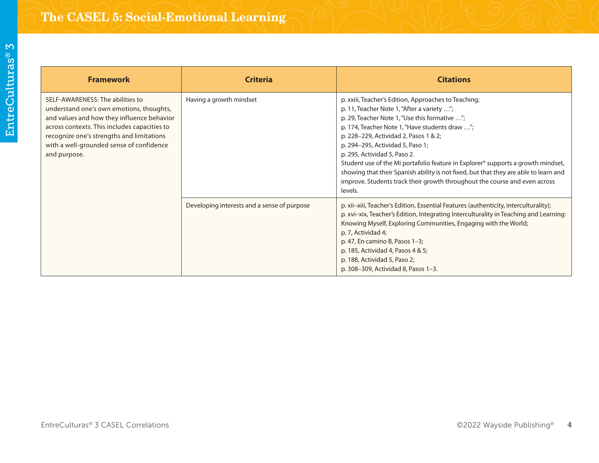| <b>Framework</b>                                                                                                                                                                                                                                                                    | <b>Criteria</b>                             | <b>Citations</b>                                                                                                                                                                                                                                                                                                                                                                                                                                                                                                                                                                        |
|-------------------------------------------------------------------------------------------------------------------------------------------------------------------------------------------------------------------------------------------------------------------------------------|---------------------------------------------|-----------------------------------------------------------------------------------------------------------------------------------------------------------------------------------------------------------------------------------------------------------------------------------------------------------------------------------------------------------------------------------------------------------------------------------------------------------------------------------------------------------------------------------------------------------------------------------------|
| SELF-AWARENESS: The abilities to<br>understand one's own emotions, thoughts,<br>and values and how they influence behavior<br>across contexts. This includes capacities to<br>recognize one's strengths and limitations<br>with a well-grounded sense of confidence<br>and purpose. | Having a growth mindset                     | p. xxiii, Teacher's Edition, Approaches to Teaching;<br>p. 11, Teacher Note 1, "After a variety ";<br>p. 29, Teacher Note 1, "Use this formative ";<br>p. 174, Teacher Note 1, "Have students draw ";<br>p. 228-229, Actividad 2, Pasos 1 & 2;<br>p. 294-295, Actividad 5, Paso 1;<br>p. 295, Actividad 5, Paso 2.<br>Student use of the Mi portafolio feature in Explorer® supports a growth mindset,<br>showing that their Spanish ability is not fixed, but that they are able to learn and<br>improve. Students track their growth throughout the course and even across<br>levels. |
|                                                                                                                                                                                                                                                                                     | Developing interests and a sense of purpose | p. xii-xiii, Teacher's Edition, Essential Features (authenticity, interculturality);<br>p. xvi-xix, Teacher's Edition, Integrating Interculturality in Teaching and Learning:<br>Knowing Myself, Exploring Communities, Engaging with the World;<br>p. 7, Actividad 4;<br>p. 47, En camino B, Pasos 1-3;<br>p. 185, Actividad 4, Pasos 4 & 5;<br>p. 188, Actividad 5, Paso 2;<br>p. 308-309, Actividad 8, Pasos 1-3.                                                                                                                                                                    |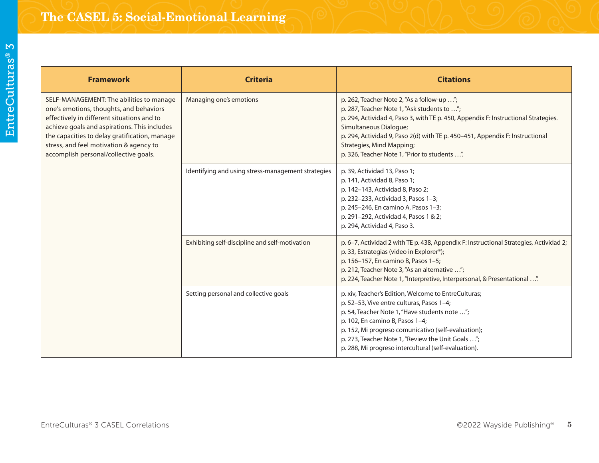| <b>Framework</b>                                                                                                                                                                                                                                                                                                       | <b>Criteria</b>                                    | <b>Citations</b>                                                                                                                                                                                                                                                                                                                                                               |
|------------------------------------------------------------------------------------------------------------------------------------------------------------------------------------------------------------------------------------------------------------------------------------------------------------------------|----------------------------------------------------|--------------------------------------------------------------------------------------------------------------------------------------------------------------------------------------------------------------------------------------------------------------------------------------------------------------------------------------------------------------------------------|
| SELF-MANAGEMENT: The abilities to manage<br>one's emotions, thoughts, and behaviors<br>effectively in different situations and to<br>achieve goals and aspirations. This includes<br>the capacities to delay gratification, manage<br>stress, and feel motivation & agency to<br>accomplish personal/collective goals. | Managing one's emotions                            | p. 262, Teacher Note 2, "As a follow-up ";<br>p. 287, Teacher Note 1, "Ask students to ";<br>p. 294, Actividad 4, Paso 3, with TE p. 450, Appendix F: Instructional Strategies.<br>Simultaneous Dialogue;<br>p. 294, Actividad 9, Paso 2(d) with TE p. 450-451, Appendix F: Instructional<br><b>Strategies, Mind Mapping;</b><br>p. 326, Teacher Note 1, "Prior to students ". |
|                                                                                                                                                                                                                                                                                                                        | Identifying and using stress-management strategies | p. 39, Actividad 13, Paso 1;<br>p. 141, Actividad 8, Paso 1;<br>p. 142-143, Actividad 8, Paso 2;<br>p. 232-233, Actividad 3, Pasos 1-3;<br>p. 245-246, En camino A, Pasos 1-3;<br>p. 291-292, Actividad 4, Pasos 1 & 2;<br>p. 294, Actividad 4, Paso 3.                                                                                                                        |
|                                                                                                                                                                                                                                                                                                                        | Exhibiting self-discipline and self-motivation     | p. 6-7, Actividad 2 with TE p. 438, Appendix F: Instructional Strategies, Actividad 2;<br>p. 33, Estrategias (video in Explorer®);<br>p. 156-157, En camino B, Pasos 1-5;<br>p. 212, Teacher Note 3, "As an alternative ";<br>p. 224, Teacher Note 1, "Interpretive, Interpersonal, & Presentational ".                                                                        |
|                                                                                                                                                                                                                                                                                                                        | Setting personal and collective goals              | p. xiv, Teacher's Edition, Welcome to EntreCulturas;<br>p. 52-53, Vive entre culturas, Pasos 1-4;<br>p. 54, Teacher Note 1, "Have students note ";<br>p. 102, En camino B, Pasos 1-4;<br>p. 152, Mi progreso comunicativo (self-evaluation);<br>p. 273, Teacher Note 1, "Review the Unit Goals ";<br>p. 288, Mi progreso intercultural (self-evaluation).                      |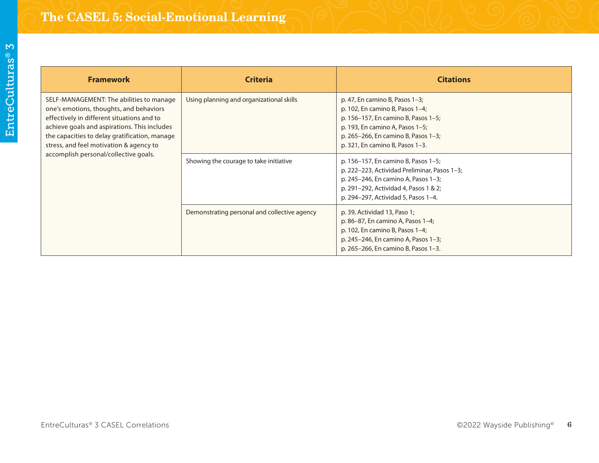| <b>Framework</b>                                                                                                                                                                                                                                                              | <b>Criteria</b>                              | <b>Citations</b>                                                                                                                                                                                                         |
|-------------------------------------------------------------------------------------------------------------------------------------------------------------------------------------------------------------------------------------------------------------------------------|----------------------------------------------|--------------------------------------------------------------------------------------------------------------------------------------------------------------------------------------------------------------------------|
| SELF-MANAGEMENT: The abilities to manage<br>one's emotions, thoughts, and behaviors<br>effectively in different situations and to<br>achieve goals and aspirations. This includes<br>the capacities to delay gratification, manage<br>stress, and feel motivation & agency to | Using planning and organizational skills     | p. 47, En camino B, Pasos $1-3$ ;<br>p. 102, En camino B, Pasos 1-4;<br>p. 156-157, En camino B, Pasos 1-5;<br>p. 193, En camino A, Pasos 1-5;<br>p. 265-266, En camino B, Pasos 1-3;<br>p. 321, En camino B, Pasos 1-3. |
| accomplish personal/collective goals.                                                                                                                                                                                                                                         | Showing the courage to take initiative       | p. 156-157, En camino B, Pasos 1-5;<br>p. 222-223, Actividad Preliminar, Pasos 1-3;<br>p. 245-246, En camino A, Pasos 1-3;<br>p. 291-292, Actividad 4, Pasos 1 & 2;<br>p. 294-297, Actividad 5, Pasos 1-4.               |
|                                                                                                                                                                                                                                                                               | Demonstrating personal and collective agency | p. 39, Actividad 13, Paso 1;<br>p. 86–87, En camino A, Pasos 1–4;<br>p. 102, En camino B, Pasos 1-4;<br>p. 245-246, En camino A, Pasos 1-3;<br>p. 265-266, En camino B, Pasos 1-3.                                       |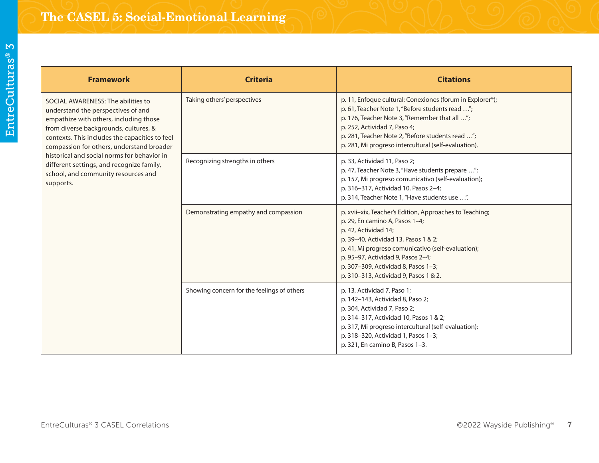| <b>Framework</b>                                                                                                                                                                                                                                                                                                                                                                                           | <b>Criteria</b>                            | <b>Citations</b>                                                                                                                                                                                                                                                                                                                     |
|------------------------------------------------------------------------------------------------------------------------------------------------------------------------------------------------------------------------------------------------------------------------------------------------------------------------------------------------------------------------------------------------------------|--------------------------------------------|--------------------------------------------------------------------------------------------------------------------------------------------------------------------------------------------------------------------------------------------------------------------------------------------------------------------------------------|
| SOCIAL AWARENESS: The abilities to<br>understand the perspectives of and<br>empathize with others, including those<br>from diverse backgrounds, cultures, &<br>contexts. This includes the capacities to feel<br>compassion for others, understand broader<br>historical and social norms for behavior in<br>different settings, and recognize family,<br>school, and community resources and<br>supports. | Taking others' perspectives                | p. 11, Enfoque cultural: Conexiones (forum in Explorer®);<br>p. 61, Teacher Note 1, "Before students read ";<br>p. 176, Teacher Note 3, "Remember that all ";<br>p. 252, Actividad 7, Paso 4;<br>p. 281, Teacher Note 2, "Before students read ";<br>p. 281, Mi progreso intercultural (self-evaluation).                            |
|                                                                                                                                                                                                                                                                                                                                                                                                            | Recognizing strengths in others            | p. 33, Actividad 11, Paso 2;<br>p. 47, Teacher Note 3, "Have students prepare ";<br>p. 157, Mi progreso comunicativo (self-evaluation);<br>p. 316-317, Actividad 10, Pasos 2-4;<br>p. 314, Teacher Note 1, "Have students use ".                                                                                                     |
|                                                                                                                                                                                                                                                                                                                                                                                                            | Demonstrating empathy and compassion       | p. xvii-xix, Teacher's Edition, Approaches to Teaching;<br>p. 29, En camino A, Pasos 1-4;<br>p. 42, Actividad 14;<br>p. 39-40, Actividad 13, Pasos 1 & 2;<br>p. 41, Mi progreso comunicativo (self-evaluation);<br>p. 95-97, Actividad 9, Pasos 2-4;<br>p. 307-309, Actividad 8, Pasos 1-3;<br>p. 310-313, Actividad 9, Pasos 1 & 2. |
|                                                                                                                                                                                                                                                                                                                                                                                                            | Showing concern for the feelings of others | p. 13, Actividad 7, Paso 1;<br>p. 142-143, Actividad 8, Paso 2;<br>p. 304, Actividad 7, Paso 2;<br>p. 314-317, Actividad 10, Pasos 1 & 2;<br>p. 317, Mi progreso intercultural (self-evaluation);<br>p. 318-320, Actividad 1, Pasos 1-3;<br>p. 321, En camino B, Pasos 1-3.                                                          |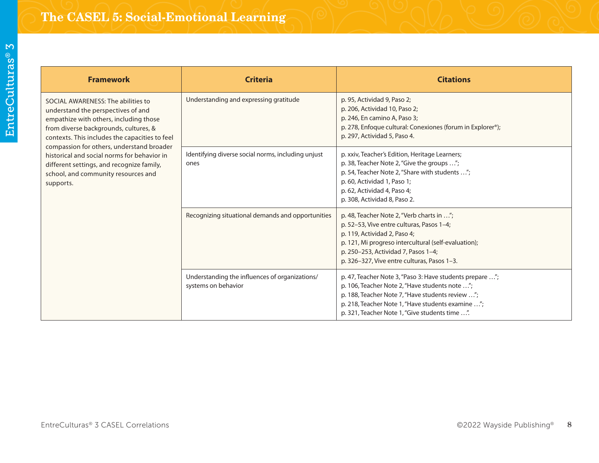| <b>Framework</b>                                                                                                                                                                                                                                                                                                                                                                                           | <b>Criteria</b>                                                       | <b>Citations</b>                                                                                                                                                                                                                                                      |
|------------------------------------------------------------------------------------------------------------------------------------------------------------------------------------------------------------------------------------------------------------------------------------------------------------------------------------------------------------------------------------------------------------|-----------------------------------------------------------------------|-----------------------------------------------------------------------------------------------------------------------------------------------------------------------------------------------------------------------------------------------------------------------|
| SOCIAL AWARENESS: The abilities to<br>understand the perspectives of and<br>empathize with others, including those<br>from diverse backgrounds, cultures, &<br>contexts. This includes the capacities to feel<br>compassion for others, understand broader<br>historical and social norms for behavior in<br>different settings, and recognize family,<br>school, and community resources and<br>supports. | Understanding and expressing gratitude                                | p. 95, Actividad 9, Paso 2;<br>p. 206, Actividad 10, Paso 2;<br>p. 246, En camino A, Paso 3;<br>p. 278, Enfoque cultural: Conexiones (forum in Explorer®);<br>p. 297, Actividad 5, Paso 4.                                                                            |
|                                                                                                                                                                                                                                                                                                                                                                                                            | Identifying diverse social norms, including unjust<br>ones            | p. xxiv, Teacher's Edition, Heritage Learners;<br>p. 38, Teacher Note 2, "Give the groups ";<br>p. 54, Teacher Note 2, "Share with students ";<br>p. 60, Actividad 1, Paso 1;<br>p. 62, Actividad 4, Paso 4;<br>p. 308, Actividad 8, Paso 2.                          |
|                                                                                                                                                                                                                                                                                                                                                                                                            | Recognizing situational demands and opportunities                     | p. 48, Teacher Note 2, "Verb charts in ";<br>p. 52-53, Vive entre culturas, Pasos 1-4;<br>p. 119, Actividad 2, Paso 4;<br>p. 121, Mi progreso intercultural (self-evaluation);<br>p. 250-253, Actividad 7, Pasos 1-4;<br>p. 326-327, Vive entre culturas, Pasos 1-3.  |
|                                                                                                                                                                                                                                                                                                                                                                                                            | Understanding the influences of organizations/<br>systems on behavior | p. 47, Teacher Note 3, "Paso 3: Have students prepare ";<br>p. 106, Teacher Note 2, "Have students note ";<br>p. 188, Teacher Note 7, "Have students review ";<br>p. 218, Teacher Note 1, "Have students examine ";<br>p. 321, Teacher Note 1, "Give students time ". |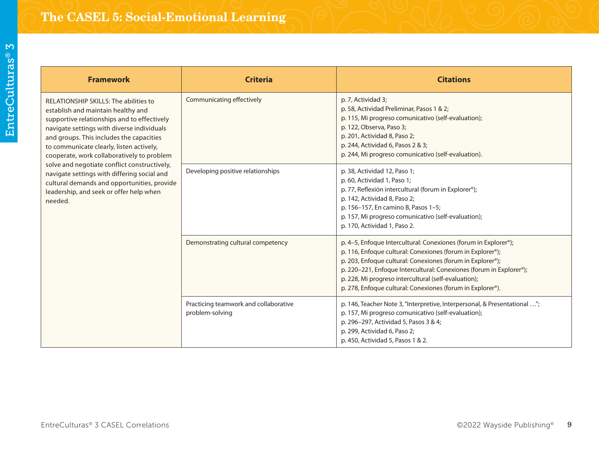| <b>Framework</b>                                                                                                                                                                                                                                                                                                                                                                                                                                                                                                          | <b>Criteria</b>                                          | <b>Citations</b>                                                                                                                                                                                                                                                                                                                                                                         |
|---------------------------------------------------------------------------------------------------------------------------------------------------------------------------------------------------------------------------------------------------------------------------------------------------------------------------------------------------------------------------------------------------------------------------------------------------------------------------------------------------------------------------|----------------------------------------------------------|------------------------------------------------------------------------------------------------------------------------------------------------------------------------------------------------------------------------------------------------------------------------------------------------------------------------------------------------------------------------------------------|
| <b>RELATIONSHIP SKILLS: The abilities to</b><br>establish and maintain healthy and<br>supportive relationships and to effectively<br>navigate settings with diverse individuals<br>and groups. This includes the capacities<br>to communicate clearly, listen actively,<br>cooperate, work collaboratively to problem<br>solve and negotiate conflict constructively,<br>navigate settings with differing social and<br>cultural demands and opportunities, provide<br>leadership, and seek or offer help when<br>needed. | Communicating effectively                                | p. 7, Actividad 3;<br>p. 58, Actividad Preliminar, Pasos 1 & 2;<br>p. 115, Mi progreso comunicativo (self-evaluation);<br>p. 122, Observa, Paso 3;<br>p. 201, Actividad 8, Paso 2;<br>p. 244, Actividad 6, Pasos 2 & 3;<br>p. 244, Mi progreso comunicativo (self-evaluation).                                                                                                           |
|                                                                                                                                                                                                                                                                                                                                                                                                                                                                                                                           | Developing positive relationships                        | p. 38, Actividad 12, Paso 1;<br>p. 60, Actividad 1, Paso 1;<br>p. 77, Reflexión intercultural (forum in Explorer®);<br>p. 142, Actividad 8, Paso 2;<br>p. 156-157, En camino B, Pasos 1-5;<br>p. 157, Mi progreso comunicativo (self-evaluation);<br>p. 170, Actividad 1, Paso 2.                                                                                                        |
|                                                                                                                                                                                                                                                                                                                                                                                                                                                                                                                           | Demonstrating cultural competency                        | p. 4-5, Enfoque Intercultural: Conexiones (forum in Explorer®);<br>p. 116, Enfoque cultural: Conexiones (forum in Explorer®);<br>p. 203, Enfoque cultural: Conexiones (forum in Explorer®);<br>p. 220-221, Enfoque Intercultural: Conexiones (forum in Explorer®);<br>p. 228, Mi progreso intercultural (self-evaluation);<br>p. 278, Enfoque cultural: Conexiones (forum in Explorer®). |
|                                                                                                                                                                                                                                                                                                                                                                                                                                                                                                                           | Practicing teamwork and collaborative<br>problem-solving | p. 146, Teacher Note 3, "Interpretive, Interpersonal, & Presentational ";<br>p. 157, Mi progreso comunicativo (self-evaluation);<br>p. 296-297, Actividad 5, Pasos 3 & 4;<br>p. 299, Actividad 6, Paso 2;<br>p. 450, Actividad 5, Pasos 1 & 2.                                                                                                                                           |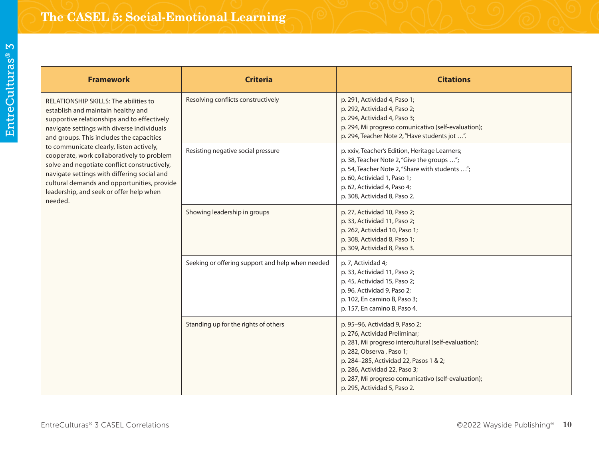| <b>Framework</b>                                                                                                                                                                                                                                                                                                                                                                                                                                                                                                   | <b>Criteria</b>                                  | <b>Citations</b>                                                                                                                                                                                                                                                                                                      |
|--------------------------------------------------------------------------------------------------------------------------------------------------------------------------------------------------------------------------------------------------------------------------------------------------------------------------------------------------------------------------------------------------------------------------------------------------------------------------------------------------------------------|--------------------------------------------------|-----------------------------------------------------------------------------------------------------------------------------------------------------------------------------------------------------------------------------------------------------------------------------------------------------------------------|
| RELATIONSHIP SKILLS: The abilities to<br>establish and maintain healthy and<br>supportive relationships and to effectively<br>navigate settings with diverse individuals<br>and groups. This includes the capacities<br>to communicate clearly, listen actively,<br>cooperate, work collaboratively to problem<br>solve and negotiate conflict constructively,<br>navigate settings with differing social and<br>cultural demands and opportunities, provide<br>leadership, and seek or offer help when<br>needed. | Resolving conflicts constructively               | p. 291, Actividad 4, Paso 1;<br>p. 292, Actividad 4, Paso 2;<br>p. 294, Actividad 4, Paso 3;<br>p. 294, Mi progreso comunicativo (self-evaluation);<br>p. 294, Teacher Note 2, "Have students jot ".                                                                                                                  |
|                                                                                                                                                                                                                                                                                                                                                                                                                                                                                                                    | Resisting negative social pressure               | p. xxiv, Teacher's Edition, Heritage Learners;<br>p. 38, Teacher Note 2, "Give the groups ";<br>p. 54, Teacher Note 2, "Share with students ";<br>p. 60, Actividad 1, Paso 1;<br>p. 62, Actividad 4, Paso 4;<br>p. 308, Actividad 8, Paso 2.                                                                          |
|                                                                                                                                                                                                                                                                                                                                                                                                                                                                                                                    | Showing leadership in groups                     | p. 27, Actividad 10, Paso 2;<br>p. 33, Actividad 11, Paso 2;<br>p. 262, Actividad 10, Paso 1;<br>p. 308, Actividad 8, Paso 1;<br>p. 309, Actividad 8, Paso 3.                                                                                                                                                         |
|                                                                                                                                                                                                                                                                                                                                                                                                                                                                                                                    | Seeking or offering support and help when needed | p. 7, Actividad 4;<br>p. 33, Actividad 11, Paso 2;<br>p. 45, Actividad 15, Paso 2;<br>p. 96, Actividad 9, Paso 2;<br>p. 102, En camino B, Paso 3;<br>p. 157, En camino B, Paso 4.                                                                                                                                     |
|                                                                                                                                                                                                                                                                                                                                                                                                                                                                                                                    | Standing up for the rights of others             | p. 95-96, Actividad 9, Paso 2;<br>p. 276, Actividad Preliminar;<br>p. 281, Mi progreso intercultural (self-evaluation);<br>p. 282, Observa, Paso 1;<br>p. 284-285, Actividad 22, Pasos 1 & 2;<br>p. 286, Actividad 22, Paso 3;<br>p. 287, Mi progreso comunicativo (self-evaluation);<br>p. 295, Actividad 5, Paso 2. |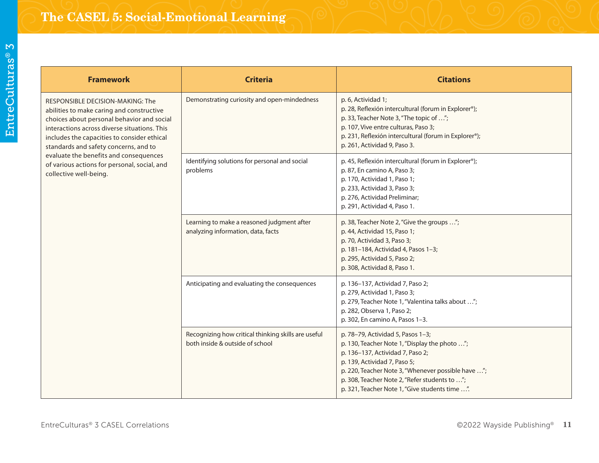| <b>Framework</b>                                                                                                                                                                                                                                                                                                                                                                        | <b>Criteria</b>                                                                        | <b>Citations</b>                                                                                                                                                                                                                                                                                                |
|-----------------------------------------------------------------------------------------------------------------------------------------------------------------------------------------------------------------------------------------------------------------------------------------------------------------------------------------------------------------------------------------|----------------------------------------------------------------------------------------|-----------------------------------------------------------------------------------------------------------------------------------------------------------------------------------------------------------------------------------------------------------------------------------------------------------------|
| RESPONSIBLE DECISION-MAKING: The<br>abilities to make caring and constructive<br>choices about personal behavior and social<br>interactions across diverse situations. This<br>includes the capacities to consider ethical<br>standards and safety concerns, and to<br>evaluate the benefits and consequences<br>of various actions for personal, social, and<br>collective well-being. | Demonstrating curiosity and open-mindedness                                            | p. 6, Actividad 1;<br>p. 28, Reflexión intercultural (forum in Explorer®);<br>p. 33, Teacher Note 3, "The topic of ";<br>p. 107, Vive entre culturas, Paso 3;<br>p. 231, Reflexión intercultural (forum in Explorer®);<br>p. 261, Actividad 9, Paso 3.                                                          |
|                                                                                                                                                                                                                                                                                                                                                                                         | Identifying solutions for personal and social<br>problems                              | p. 45, Reflexión intercultural (forum in Explorer®);<br>p. 87, En camino A, Paso 3;<br>p. 170, Actividad 1, Paso 1;<br>p. 233, Actividad 3, Paso 3;<br>p. 276, Actividad Preliminar;<br>p. 291, Actividad 4, Paso 1.                                                                                            |
|                                                                                                                                                                                                                                                                                                                                                                                         | Learning to make a reasoned judgment after<br>analyzing information, data, facts       | p. 38, Teacher Note 2, "Give the groups ";<br>p. 44, Actividad 15, Paso 1;<br>p. 70, Actividad 3, Paso 3;<br>p. 181-184, Actividad 4, Pasos 1-3;<br>p. 295, Actividad 5, Paso 2;<br>p. 308, Actividad 8, Paso 1.                                                                                                |
|                                                                                                                                                                                                                                                                                                                                                                                         | Anticipating and evaluating the consequences                                           | p. 136-137, Actividad 7, Paso 2;<br>p. 279, Actividad 1, Paso 3;<br>p. 279, Teacher Note 1, "Valentina talks about ";<br>p. 282, Observa 1, Paso 2;<br>p. 302, En camino A, Pasos 1-3.                                                                                                                          |
|                                                                                                                                                                                                                                                                                                                                                                                         | Recognizing how critical thinking skills are useful<br>both inside & outside of school | p. 78-79, Actividad 5, Pasos 1-3;<br>p. 130, Teacher Note 1, "Display the photo ";<br>p. 136-137, Actividad 7, Paso 2;<br>p. 139, Actividad 7, Paso 5;<br>p. 220, Teacher Note 3, "Whenever possible have ";<br>p. 308, Teacher Note 2, "Refer students to ";<br>p. 321, Teacher Note 1, "Give students time ". |